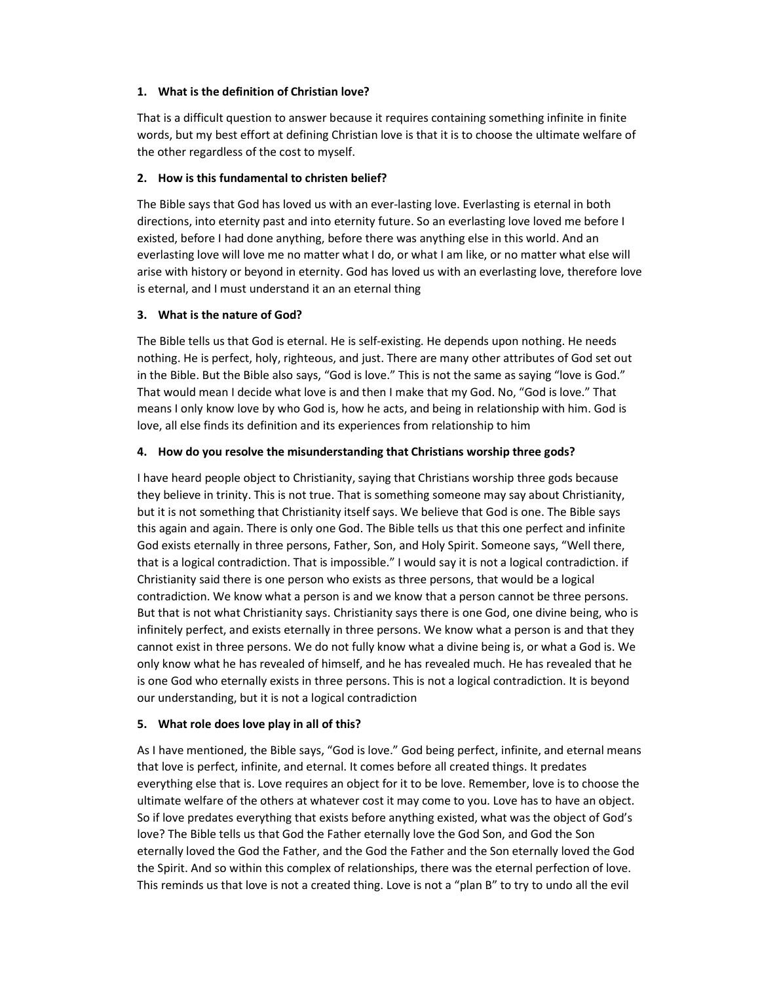#### 1. What is the definition of Christian love?

That is a difficult question to answer because it requires containing something infinite in finite words, but my best effort at defining Christian love is that it is to choose the ultimate welfare of the other regardless of the cost to myself.

## 2. How is this fundamental to christen belief?

The Bible says that God has loved us with an ever-lasting love. Everlasting is eternal in both directions, into eternity past and into eternity future. So an everlasting love loved me before I existed, before I had done anything, before there was anything else in this world. And an everlasting love will love me no matter what I do, or what I am like, or no matter what else will arise with history or beyond in eternity. God has loved us with an everlasting love, therefore love is eternal, and I must understand it an an eternal thing

## 3. What is the nature of God?

The Bible tells us that God is eternal. He is self-existing. He depends upon nothing. He needs nothing. He is perfect, holy, righteous, and just. There are many other attributes of God set out in the Bible. But the Bible also says, "God is love." This is not the same as saying "love is God." That would mean I decide what love is and then I make that my God. No, "God is love." That means I only know love by who God is, how he acts, and being in relationship with him. God is love, all else finds its definition and its experiences from relationship to him

## 4. How do you resolve the misunderstanding that Christians worship three gods?

I have heard people object to Christianity, saying that Christians worship three gods because they believe in trinity. This is not true. That is something someone may say about Christianity, but it is not something that Christianity itself says. We believe that God is one. The Bible says this again and again. There is only one God. The Bible tells us that this one perfect and infinite God exists eternally in three persons, Father, Son, and Holy Spirit. Someone says, "Well there, that is a logical contradiction. That is impossible." I would say it is not a logical contradiction. if Christianity said there is one person who exists as three persons, that would be a logical contradiction. We know what a person is and we know that a person cannot be three persons. But that is not what Christianity says. Christianity says there is one God, one divine being, who is infinitely perfect, and exists eternally in three persons. We know what a person is and that they cannot exist in three persons. We do not fully know what a divine being is, or what a God is. We only know what he has revealed of himself, and he has revealed much. He has revealed that he is one God who eternally exists in three persons. This is not a logical contradiction. It is beyond our understanding, but it is not a logical contradiction

#### 5. What role does love play in all of this?

As I have mentioned, the Bible says, "God is love." God being perfect, infinite, and eternal means that love is perfect, infinite, and eternal. It comes before all created things. It predates everything else that is. Love requires an object for it to be love. Remember, love is to choose the ultimate welfare of the others at whatever cost it may come to you. Love has to have an object. So if love predates everything that exists before anything existed, what was the object of God's love? The Bible tells us that God the Father eternally love the God Son, and God the Son eternally loved the God the Father, and the God the Father and the Son eternally loved the God the Spirit. And so within this complex of relationships, there was the eternal perfection of love. This reminds us that love is not a created thing. Love is not a "plan B" to try to undo all the evil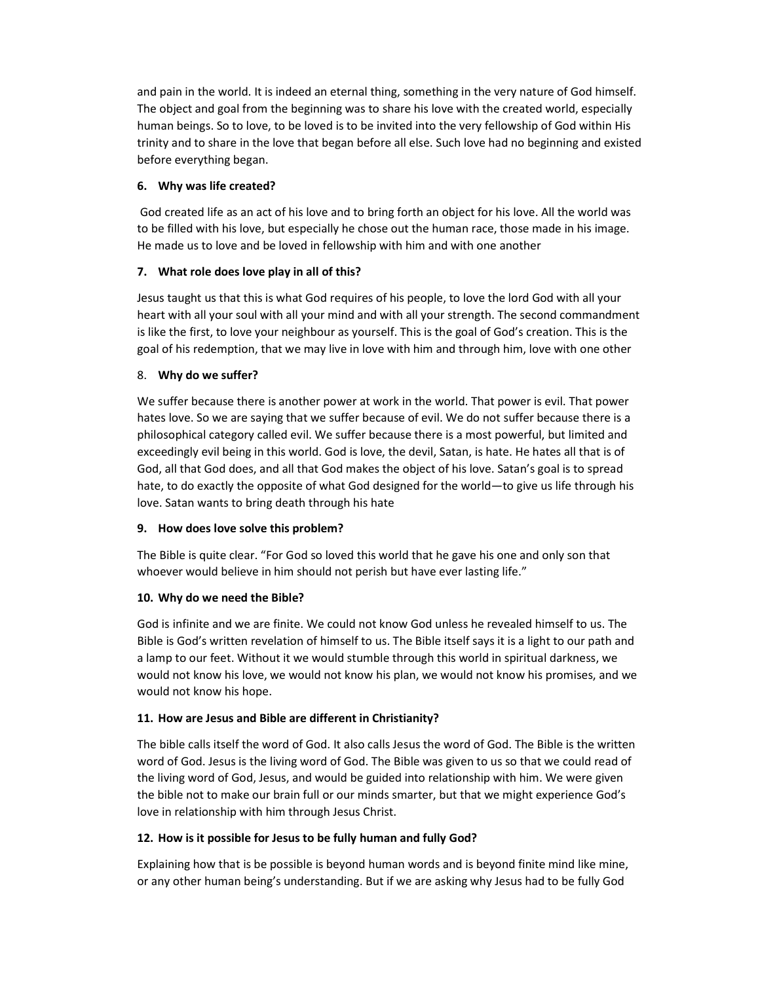and pain in the world. It is indeed an eternal thing, something in the very nature of God himself. The object and goal from the beginning was to share his love with the created world, especially human beings. So to love, to be loved is to be invited into the very fellowship of God within His trinity and to share in the love that began before all else. Such love had no beginning and existed before everything began.

## 6. Why was life created?

 God created life as an act of his love and to bring forth an object for his love. All the world was to be filled with his love, but especially he chose out the human race, those made in his image. He made us to love and be loved in fellowship with him and with one another

# 7. What role does love play in all of this?

Jesus taught us that this is what God requires of his people, to love the lord God with all your heart with all your soul with all your mind and with all your strength. The second commandment is like the first, to love your neighbour as yourself. This is the goal of God's creation. This is the goal of his redemption, that we may live in love with him and through him, love with one other

# 8. Why do we suffer?

We suffer because there is another power at work in the world. That power is evil. That power hates love. So we are saying that we suffer because of evil. We do not suffer because there is a philosophical category called evil. We suffer because there is a most powerful, but limited and exceedingly evil being in this world. God is love, the devil, Satan, is hate. He hates all that is of God, all that God does, and all that God makes the object of his love. Satan's goal is to spread hate, to do exactly the opposite of what God designed for the world—to give us life through his love. Satan wants to bring death through his hate

# 9. How does love solve this problem?

The Bible is quite clear. "For God so loved this world that he gave his one and only son that whoever would believe in him should not perish but have ever lasting life."

# 10. Why do we need the Bible?

God is infinite and we are finite. We could not know God unless he revealed himself to us. The Bible is God's written revelation of himself to us. The Bible itself says it is a light to our path and a lamp to our feet. Without it we would stumble through this world in spiritual darkness, we would not know his love, we would not know his plan, we would not know his promises, and we would not know his hope.

# 11. How are Jesus and Bible are different in Christianity?

The bible calls itself the word of God. It also calls Jesus the word of God. The Bible is the written word of God. Jesus is the living word of God. The Bible was given to us so that we could read of the living word of God, Jesus, and would be guided into relationship with him. We were given the bible not to make our brain full or our minds smarter, but that we might experience God's love in relationship with him through Jesus Christ.

# 12. How is it possible for Jesus to be fully human and fully God?

Explaining how that is be possible is beyond human words and is beyond finite mind like mine, or any other human being's understanding. But if we are asking why Jesus had to be fully God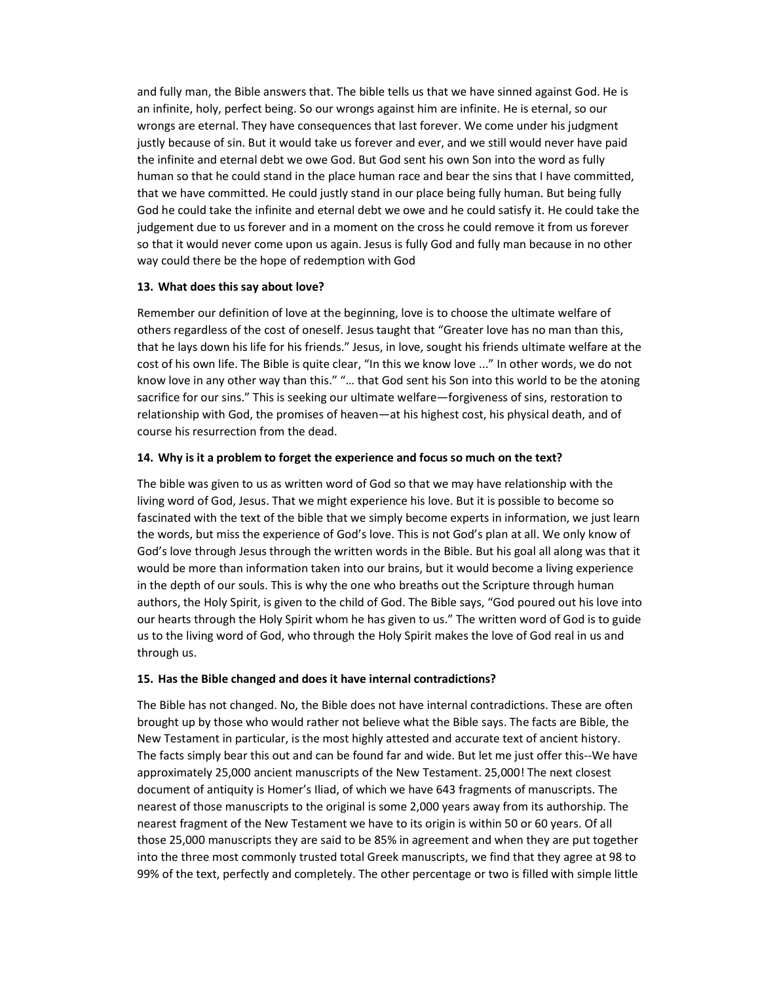and fully man, the Bible answers that. The bible tells us that we have sinned against God. He is an infinite, holy, perfect being. So our wrongs against him are infinite. He is eternal, so our wrongs are eternal. They have consequences that last forever. We come under his judgment justly because of sin. But it would take us forever and ever, and we still would never have paid the infinite and eternal debt we owe God. But God sent his own Son into the word as fully human so that he could stand in the place human race and bear the sins that I have committed, that we have committed. He could justly stand in our place being fully human. But being fully God he could take the infinite and eternal debt we owe and he could satisfy it. He could take the judgement due to us forever and in a moment on the cross he could remove it from us forever so that it would never come upon us again. Jesus is fully God and fully man because in no other way could there be the hope of redemption with God

#### 13. What does this say about love?

Remember our definition of love at the beginning, love is to choose the ultimate welfare of others regardless of the cost of oneself. Jesus taught that "Greater love has no man than this, that he lays down his life for his friends." Jesus, in love, sought his friends ultimate welfare at the cost of his own life. The Bible is quite clear, "In this we know love ..." In other words, we do not know love in any other way than this." "… that God sent his Son into this world to be the atoning sacrifice for our sins." This is seeking our ultimate welfare—forgiveness of sins, restoration to relationship with God, the promises of heaven—at his highest cost, his physical death, and of course his resurrection from the dead.

## 14. Why is it a problem to forget the experience and focus so much on the text?

The bible was given to us as written word of God so that we may have relationship with the living word of God, Jesus. That we might experience his love. But it is possible to become so fascinated with the text of the bible that we simply become experts in information, we just learn the words, but miss the experience of God's love. This is not God's plan at all. We only know of God's love through Jesus through the written words in the Bible. But his goal all along was that it would be more than information taken into our brains, but it would become a living experience in the depth of our souls. This is why the one who breaths out the Scripture through human authors, the Holy Spirit, is given to the child of God. The Bible says, "God poured out his love into our hearts through the Holy Spirit whom he has given to us." The written word of God is to guide us to the living word of God, who through the Holy Spirit makes the love of God real in us and through us.

# 15. Has the Bible changed and does it have internal contradictions?

The Bible has not changed. No, the Bible does not have internal contradictions. These are often brought up by those who would rather not believe what the Bible says. The facts are Bible, the New Testament in particular, is the most highly attested and accurate text of ancient history. The facts simply bear this out and can be found far and wide. But let me just offer this--We have approximately 25,000 ancient manuscripts of the New Testament. 25,000! The next closest document of antiquity is Homer's Iliad, of which we have 643 fragments of manuscripts. The nearest of those manuscripts to the original is some 2,000 years away from its authorship. The nearest fragment of the New Testament we have to its origin is within 50 or 60 years. Of all those 25,000 manuscripts they are said to be 85% in agreement and when they are put together into the three most commonly trusted total Greek manuscripts, we find that they agree at 98 to 99% of the text, perfectly and completely. The other percentage or two is filled with simple little